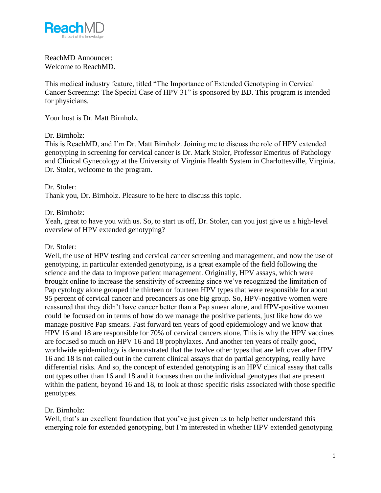

### ReachMD Announcer: Welcome to ReachMD.

This medical industry feature, titled "The Importance of Extended Genotyping in Cervical Cancer Screening: The Special Case of HPV 31" is sponsored by BD. This program is intended for physicians.

Your host is Dr. Matt Birnholz.

### Dr. Birnholz:

This is ReachMD, and I'm Dr. Matt Birnholz. Joining me to discuss the role of HPV extended genotyping in screening for cervical cancer is Dr. Mark Stoler, Professor Emeritus of Pathology and Clinical Gynecology at the University of Virginia Health System in Charlottesville, Virginia. Dr. Stoler, welcome to the program.

Dr. Stoler: Thank you, Dr. Birnholz. Pleasure to be here to discuss this topic.

#### Dr. Birnholz:

Yeah, great to have you with us. So, to start us off, Dr. Stoler, can you just give us a high-level overview of HPV extended genotyping?

#### Dr. Stoler:

Well, the use of HPV testing and cervical cancer screening and management, and now the use of genotyping, in particular extended genotyping, is a great example of the field following the science and the data to improve patient management. Originally, HPV assays, which were brought online to increase the sensitivity of screening since we've recognized the limitation of Pap cytology alone grouped the thirteen or fourteen HPV types that were responsible for about 95 percent of cervical cancer and precancers as one big group. So, HPV-negative women were reassured that they didn't have cancer better than a Pap smear alone, and HPV-positive women could be focused on in terms of how do we manage the positive patients, just like how do we manage positive Pap smears. Fast forward ten years of good epidemiology and we know that HPV 16 and 18 are responsible for 70% of cervical cancers alone. This is why the HPV vaccines are focused so much on HPV 16 and 18 prophylaxes. And another ten years of really good, worldwide epidemiology is demonstrated that the twelve other types that are left over after HPV 16 and 18 is not called out in the current clinical assays that do partial genotyping, really have differential risks. And so, the concept of extended genotyping is an HPV clinical assay that calls out types other than 16 and 18 and it focuses then on the individual genotypes that are present within the patient, beyond 16 and 18, to look at those specific risks associated with those specific genotypes.

### Dr. Birnholz:

Well, that's an excellent foundation that you've just given us to help better understand this emerging role for extended genotyping, but I'm interested in whether HPV extended genotyping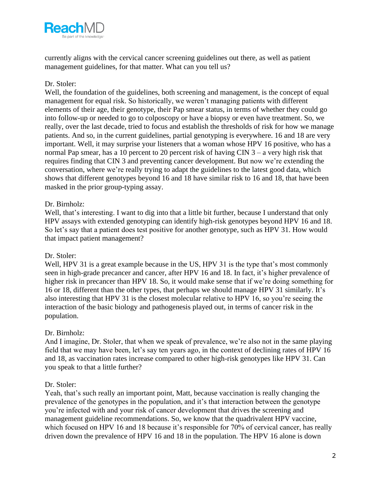

currently aligns with the cervical cancer screening guidelines out there, as well as patient management guidelines, for that matter. What can you tell us?

# Dr. Stoler:

Well, the foundation of the guidelines, both screening and management, is the concept of equal management for equal risk. So historically, we weren't managing patients with different elements of their age, their genotype, their Pap smear status, in terms of whether they could go into follow-up or needed to go to colposcopy or have a biopsy or even have treatment. So, we really, over the last decade, tried to focus and establish the thresholds of risk for how we manage patients. And so, in the current guidelines, partial genotyping is everywhere. 16 and 18 are very important. Well, it may surprise your listeners that a woman whose HPV 16 positive, who has a normal Pap smear, has a 10 percent to 20 percent risk of having CIN 3 – a very high risk that requires finding that CIN 3 and preventing cancer development. But now we're extending the conversation, where we're really trying to adapt the guidelines to the latest good data, which shows that different genotypes beyond 16 and 18 have similar risk to 16 and 18, that have been masked in the prior group-typing assay.

### Dr. Birnholz:

Well, that's interesting. I want to dig into that a little bit further, because I understand that only HPV assays with extended genotyping can identify high-risk genotypes beyond HPV 16 and 18. So let's say that a patient does test positive for another genotype, such as HPV 31. How would that impact patient management?

### Dr. Stoler:

Well, HPV 31 is a great example because in the US, HPV 31 is the type that's most commonly seen in high-grade precancer and cancer, after HPV 16 and 18. In fact, it's higher prevalence of higher risk in precancer than HPV 18. So, it would make sense that if we're doing something for 16 or 18, different than the other types, that perhaps we should manage HPV 31 similarly. It's also interesting that HPV 31 is the closest molecular relative to HPV 16, so you're seeing the interaction of the basic biology and pathogenesis played out, in terms of cancer risk in the population.

### Dr. Birnholz:

And I imagine, Dr. Stoler, that when we speak of prevalence, we're also not in the same playing field that we may have been, let's say ten years ago, in the context of declining rates of HPV 16 and 18, as vaccination rates increase compared to other high-risk genotypes like HPV 31. Can you speak to that a little further?

### Dr. Stoler:

Yeah, that's such really an important point, Matt, because vaccination is really changing the prevalence of the genotypes in the population, and it's that interaction between the genotype you're infected with and your risk of cancer development that drives the screening and management guideline recommendations. So, we know that the quadrivalent HPV vaccine, which focused on HPV 16 and 18 because it's responsible for 70% of cervical cancer, has really driven down the prevalence of HPV 16 and 18 in the population. The HPV 16 alone is down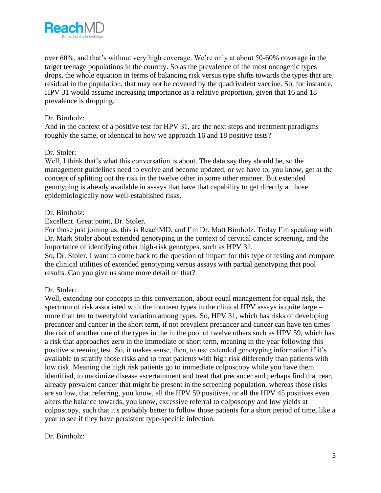

over 60%, and that's without very high coverage. We're only at about 50-60% coverage in the target teenage populations in the country. So as the prevalence of the most oncogenic types drops, the whole equation in terms of balancing risk versus type shifts towards the types that are residual in the population, that may not be covered by the quadrivalent vaccine. So, for instance, HPV 31 would assume increasing importance as a relative proportion, given that 16 and 18 prevalence is dropping.

## Dr. Birnholz:

And in the context of a positive test for HPV 31, are the next steps and treatment paradigms roughly the same, or identical to how we approach 16 and 18 positive tests?

### Dr. Stoler:

Well, I think that's what this conversation is about. The data say they should be, so the management guidelines need to evolve and become updated, or we have to, you know, get at the concept of splitting out the risk in the twelve other in some other manner. But extended genotyping is already available in assays that have that capability to get directly at those epidemiologically now well-established risks.

### Dr. Birnholz:

Excellent. Great point, Dr. Stoler.

For those just joining us, this is ReachMD, and I'm Dr. Matt Birnholz. Today I'm speaking with Dr. Mark Stoler about extended genotyping in the context of cervical cancer screening, and the importance of identifying other high-risk genotypes, such as HPV 31.

So, Dr. Stoler, I want to come back to the question of impact for this type of testing and compare the clinical utilities of extended genotyping versus assays with partial genotyping that pool results. Can you give us some more detail on that?

### Dr. Stoler:

Well, extending our concepts in this conversation, about equal management for equal risk, the spectrum of risk associated with the fourteen types in the clinical HPV assays is quite large – more than ten to twentyfold variation among types. So, HPV 31, which has risks of developing precancer and cancer in the short term, if not prevalent precancer and cancer can have ten times the risk of another one of the types in the in the pool of twelve others such as HPV 59, which has a risk that approaches zero in the immediate or short term, meaning in the year following this positive screening test. So, it makes sense, then, to use extended genotyping information if it's available to stratify those risks and to treat patients with high risk differently than patients with low risk. Meaning the high risk patients go to immediate colposcopy while you have them identified, to maximize disease ascertainment and treat that precancer and perhaps find that rear, already prevalent cancer that might be present in the screening population, whereas those risks are so low, that referring, you know, all the HPV 59 positives, or all the HPV 45 positives even alters the balance towards, you know, excessive referral to colposcopy and low yields at colposcopy, such that it's probably better to follow those patients for a short period of time, like a year to see if they have persistent type-specific infection.

### Dr. Birnholz: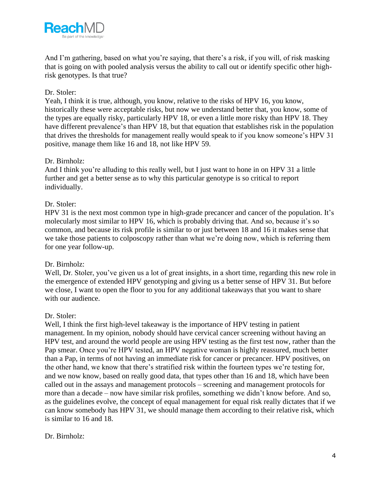

And I'm gathering, based on what you're saying, that there's a risk, if you will, of risk masking that is going on with pooled analysis versus the ability to call out or identify specific other highrisk genotypes. Is that true?

# Dr. Stoler:

Yeah, I think it is true, although, you know, relative to the risks of HPV 16, you know, historically these were acceptable risks, but now we understand better that, you know, some of the types are equally risky, particularly HPV 18, or even a little more risky than HPV 18. They have different prevalence's than HPV 18, but that equation that establishes risk in the population that drives the thresholds for management really would speak to if you know someone's HPV 31 positive, manage them like 16 and 18, not like HPV 59.

### Dr. Birnholz:

And I think you're alluding to this really well, but I just want to hone in on HPV 31 a little further and get a better sense as to why this particular genotype is so critical to report individually.

### Dr. Stoler:

HPV 31 is the next most common type in high-grade precancer and cancer of the population. It's molecularly most similar to HPV 16, which is probably driving that. And so, because it's so common, and because its risk profile is similar to or just between 18 and 16 it makes sense that we take those patients to colposcopy rather than what we're doing now, which is referring them for one year follow-up.

#### Dr. Birnholz:

Well, Dr. Stoler, you've given us a lot of great insights, in a short time, regarding this new role in the emergence of extended HPV genotyping and giving us a better sense of HPV 31. But before we close, I want to open the floor to you for any additional takeaways that you want to share with our audience.

#### Dr. Stoler:

Well, I think the first high-level takeaway is the importance of HPV testing in patient management. In my opinion, nobody should have cervical cancer screening without having an HPV test, and around the world people are using HPV testing as the first test now, rather than the Pap smear. Once you're HPV tested, an HPV negative woman is highly reassured, much better than a Pap, in terms of not having an immediate risk for cancer or precancer. HPV positives, on the other hand, we know that there's stratified risk within the fourteen types we're testing for, and we now know, based on really good data, that types other than 16 and 18, which have been called out in the assays and management protocols – screening and management protocols for more than a decade – now have similar risk profiles, something we didn't know before. And so, as the guidelines evolve, the concept of equal management for equal risk really dictates that if we can know somebody has HPV 31, we should manage them according to their relative risk, which is similar to 16 and 18.

### Dr. Birnholz: